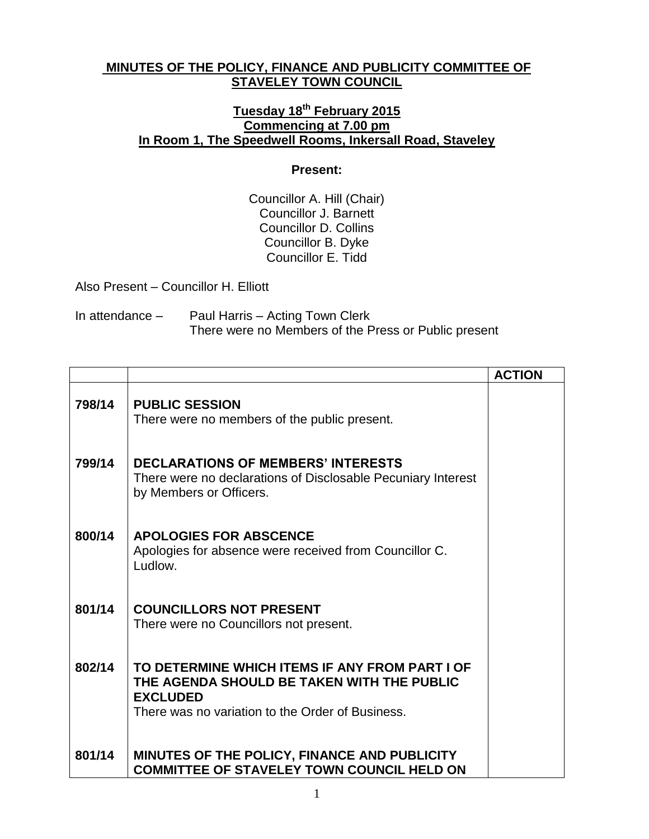## **MINUTES OF THE POLICY, FINANCE AND PUBLICITY COMMITTEE OF STAVELEY TOWN COUNCIL**

## **Tuesday 18th February 2015 Commencing at 7.00 pm In Room 1, The Speedwell Rooms, Inkersall Road, Staveley**

## **Present:**

Councillor A. Hill (Chair) Councillor J. Barnett Councillor D. Collins Councillor B. Dyke Councillor E. Tidd

Also Present – Councillor H. Elliott

| In attendance $-$ | Paul Harris – Acting Town Clerk                      |
|-------------------|------------------------------------------------------|
|                   | There were no Members of the Press or Public present |

|        |                                                                                                                                                                     | <b>ACTION</b> |
|--------|---------------------------------------------------------------------------------------------------------------------------------------------------------------------|---------------|
| 798/14 | <b>PUBLIC SESSION</b><br>There were no members of the public present.                                                                                               |               |
| 799/14 | <b>DECLARATIONS OF MEMBERS' INTERESTS</b><br>There were no declarations of Disclosable Pecuniary Interest<br>by Members or Officers.                                |               |
| 800/14 | <b>APOLOGIES FOR ABSCENCE</b><br>Apologies for absence were received from Councillor C.<br>Ludlow.                                                                  |               |
| 801/14 | <b>COUNCILLORS NOT PRESENT</b><br>There were no Councillors not present.                                                                                            |               |
| 802/14 | TO DETERMINE WHICH ITEMS IF ANY FROM PART I OF<br>THE AGENDA SHOULD BE TAKEN WITH THE PUBLIC<br><b>EXCLUDED</b><br>There was no variation to the Order of Business. |               |
| 801/14 | MINUTES OF THE POLICY, FINANCE AND PUBLICITY<br><b>COMMITTEE OF STAVELEY TOWN COUNCIL HELD ON</b>                                                                   |               |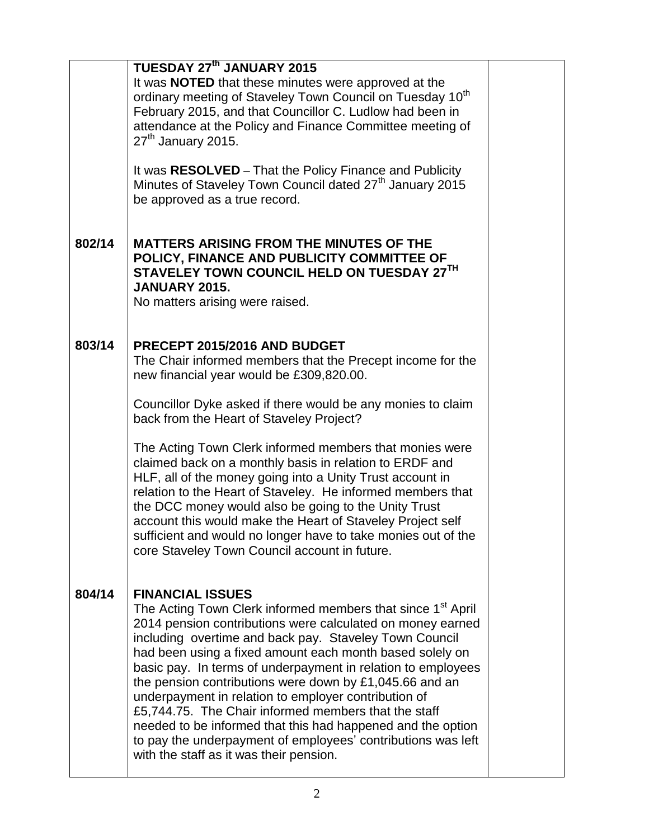|        | <b>TUESDAY 27th JANUARY 2015</b><br>It was <b>NOTED</b> that these minutes were approved at the<br>ordinary meeting of Staveley Town Council on Tuesday 10 <sup>th</sup><br>February 2015, and that Councillor C. Ludlow had been in<br>attendance at the Policy and Finance Committee meeting of<br>$27th$ January 2015.                                                                                                                                                                                                                                                                                                                                                                                   |  |
|--------|-------------------------------------------------------------------------------------------------------------------------------------------------------------------------------------------------------------------------------------------------------------------------------------------------------------------------------------------------------------------------------------------------------------------------------------------------------------------------------------------------------------------------------------------------------------------------------------------------------------------------------------------------------------------------------------------------------------|--|
|        | It was RESOLVED - That the Policy Finance and Publicity<br>Minutes of Staveley Town Council dated 27 <sup>th</sup> January 2015<br>be approved as a true record.                                                                                                                                                                                                                                                                                                                                                                                                                                                                                                                                            |  |
| 802/14 | <b>MATTERS ARISING FROM THE MINUTES OF THE</b><br>POLICY, FINANCE AND PUBLICITY COMMITTEE OF<br>STAVELEY TOWN COUNCIL HELD ON TUESDAY 27TH<br><b>JANUARY 2015.</b><br>No matters arising were raised.                                                                                                                                                                                                                                                                                                                                                                                                                                                                                                       |  |
| 803/14 | PRECEPT 2015/2016 AND BUDGET<br>The Chair informed members that the Precept income for the<br>new financial year would be £309,820.00.                                                                                                                                                                                                                                                                                                                                                                                                                                                                                                                                                                      |  |
|        | Councillor Dyke asked if there would be any monies to claim<br>back from the Heart of Staveley Project?                                                                                                                                                                                                                                                                                                                                                                                                                                                                                                                                                                                                     |  |
|        | The Acting Town Clerk informed members that monies were<br>claimed back on a monthly basis in relation to ERDF and<br>HLF, all of the money going into a Unity Trust account in<br>relation to the Heart of Staveley. He informed members that<br>the DCC money would also be going to the Unity Trust<br>account this would make the Heart of Staveley Project self<br>sufficient and would no longer have to take monies out of the<br>core Staveley Town Council account in future.                                                                                                                                                                                                                      |  |
| 804/14 | <b>FINANCIAL ISSUES</b><br>The Acting Town Clerk informed members that since 1 <sup>st</sup> April<br>2014 pension contributions were calculated on money earned<br>including overtime and back pay. Staveley Town Council<br>had been using a fixed amount each month based solely on<br>basic pay. In terms of underpayment in relation to employees<br>the pension contributions were down by £1,045.66 and an<br>underpayment in relation to employer contribution of<br>£5,744.75. The Chair informed members that the staff<br>needed to be informed that this had happened and the option<br>to pay the underpayment of employees' contributions was left<br>with the staff as it was their pension. |  |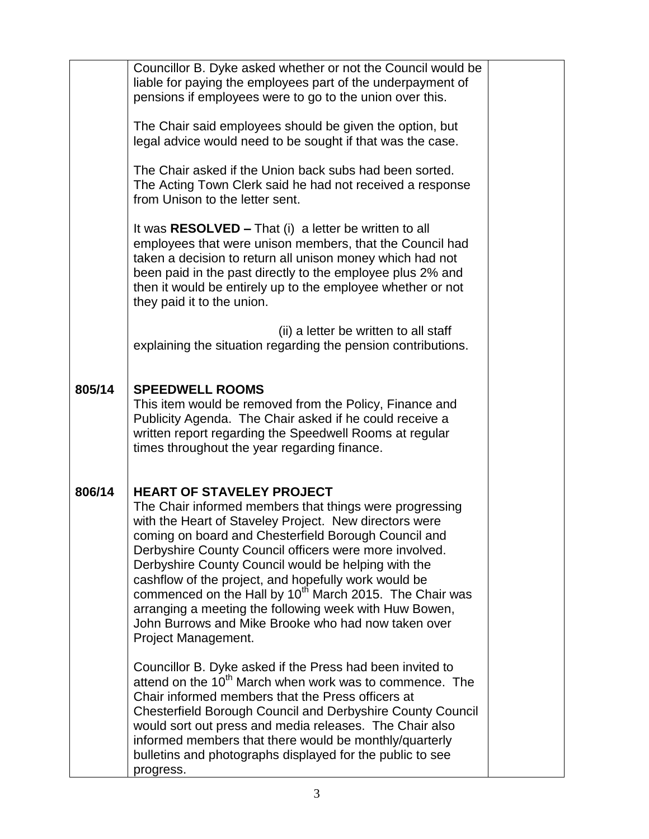|        | Councillor B. Dyke asked whether or not the Council would be<br>liable for paying the employees part of the underpayment of<br>pensions if employees were to go to the union over this.                                                                                                                                                                                                                                                                                                                                                                                                               |  |
|--------|-------------------------------------------------------------------------------------------------------------------------------------------------------------------------------------------------------------------------------------------------------------------------------------------------------------------------------------------------------------------------------------------------------------------------------------------------------------------------------------------------------------------------------------------------------------------------------------------------------|--|
|        | The Chair said employees should be given the option, but<br>legal advice would need to be sought if that was the case.                                                                                                                                                                                                                                                                                                                                                                                                                                                                                |  |
|        | The Chair asked if the Union back subs had been sorted.<br>The Acting Town Clerk said he had not received a response<br>from Unison to the letter sent.                                                                                                                                                                                                                                                                                                                                                                                                                                               |  |
|        | It was $RESOLVED - That (i) a letter be written to all$<br>employees that were unison members, that the Council had<br>taken a decision to return all unison money which had not<br>been paid in the past directly to the employee plus 2% and<br>then it would be entirely up to the employee whether or not<br>they paid it to the union.                                                                                                                                                                                                                                                           |  |
|        | (ii) a letter be written to all staff<br>explaining the situation regarding the pension contributions.                                                                                                                                                                                                                                                                                                                                                                                                                                                                                                |  |
| 805/14 | <b>SPEEDWELL ROOMS</b><br>This item would be removed from the Policy, Finance and<br>Publicity Agenda. The Chair asked if he could receive a<br>written report regarding the Speedwell Rooms at regular<br>times throughout the year regarding finance.                                                                                                                                                                                                                                                                                                                                               |  |
| 806/14 | <b>HEART OF STAVELEY PROJECT</b><br>The Chair informed members that things were progressing<br>with the Heart of Staveley Project. New directors were<br>coming on board and Chesterfield Borough Council and<br>Derbyshire County Council officers were more involved.<br>Derbyshire County Council would be helping with the<br>cashflow of the project, and hopefully work would be<br>commenced on the Hall by 10 <sup>th</sup> March 2015. The Chair was<br>arranging a meeting the following week with Huw Bowen,<br>John Burrows and Mike Brooke who had now taken over<br>Project Management. |  |
|        | Councillor B. Dyke asked if the Press had been invited to<br>attend on the 10 <sup>th</sup> March when work was to commence. The<br>Chair informed members that the Press officers at<br>Chesterfield Borough Council and Derbyshire County Council<br>would sort out press and media releases. The Chair also<br>informed members that there would be monthly/quarterly<br>bulletins and photographs displayed for the public to see<br>progress.                                                                                                                                                    |  |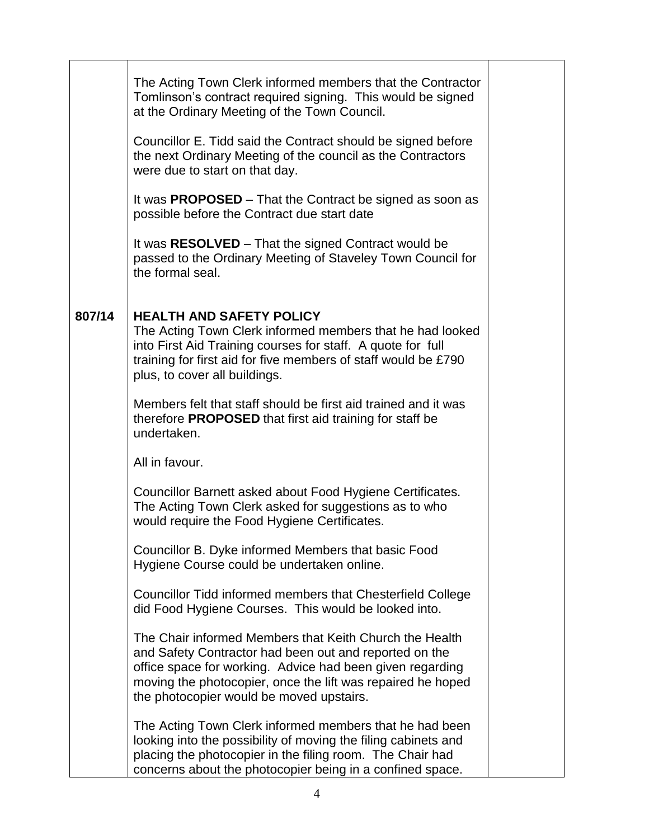|        | The Acting Town Clerk informed members that the Contractor<br>Tomlinson's contract required signing. This would be signed<br>at the Ordinary Meeting of the Town Council.                                                                                                                 |  |
|--------|-------------------------------------------------------------------------------------------------------------------------------------------------------------------------------------------------------------------------------------------------------------------------------------------|--|
|        | Councillor E. Tidd said the Contract should be signed before<br>the next Ordinary Meeting of the council as the Contractors<br>were due to start on that day.                                                                                                                             |  |
|        | It was PROPOSED - That the Contract be signed as soon as<br>possible before the Contract due start date                                                                                                                                                                                   |  |
|        | It was RESOLVED – That the signed Contract would be<br>passed to the Ordinary Meeting of Staveley Town Council for<br>the formal seal.                                                                                                                                                    |  |
| 807/14 | <b>HEALTH AND SAFETY POLICY</b><br>The Acting Town Clerk informed members that he had looked<br>into First Aid Training courses for staff. A quote for full<br>training for first aid for five members of staff would be £790<br>plus, to cover all buildings.                            |  |
|        | Members felt that staff should be first aid trained and it was<br>therefore <b>PROPOSED</b> that first aid training for staff be<br>undertaken.                                                                                                                                           |  |
|        | All in favour.                                                                                                                                                                                                                                                                            |  |
|        | Councillor Barnett asked about Food Hygiene Certificates.<br>The Acting Town Clerk asked for suggestions as to who<br>would require the Food Hygiene Certificates.                                                                                                                        |  |
|        | Councillor B. Dyke informed Members that basic Food<br>Hygiene Course could be undertaken online.                                                                                                                                                                                         |  |
|        | Councillor Tidd informed members that Chesterfield College<br>did Food Hygiene Courses. This would be looked into.                                                                                                                                                                        |  |
|        | The Chair informed Members that Keith Church the Health<br>and Safety Contractor had been out and reported on the<br>office space for working. Advice had been given regarding<br>moving the photocopier, once the lift was repaired he hoped<br>the photocopier would be moved upstairs. |  |
|        | The Acting Town Clerk informed members that he had been<br>looking into the possibility of moving the filing cabinets and<br>placing the photocopier in the filing room. The Chair had<br>concerns about the photocopier being in a confined space.                                       |  |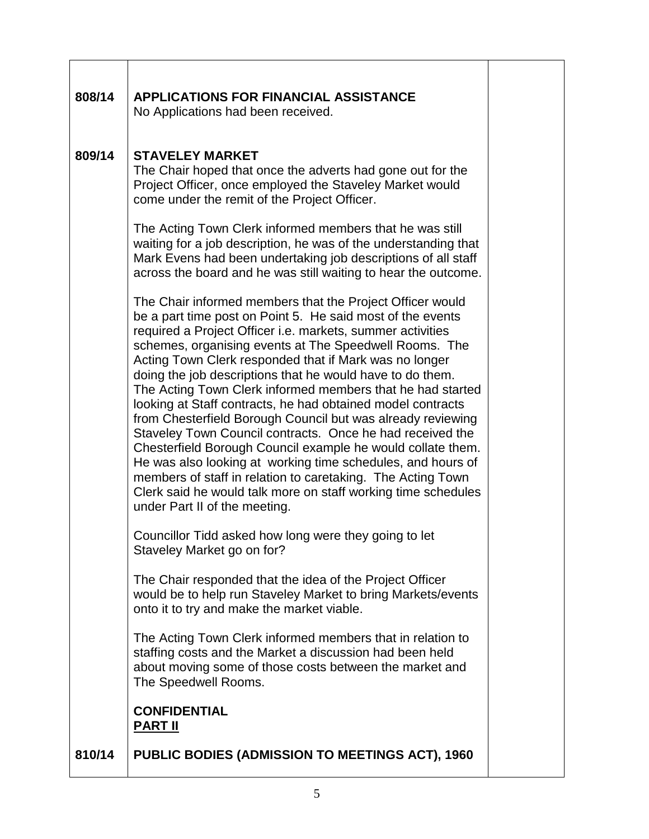| 808/14 | <b>APPLICATIONS FOR FINANCIAL ASSISTANCE</b><br>No Applications had been received.                                                                                                                                                                                                                                                                                                                                                                                                                                                                                                                                                                                                                                                                                                                                                                                                                                             |  |
|--------|--------------------------------------------------------------------------------------------------------------------------------------------------------------------------------------------------------------------------------------------------------------------------------------------------------------------------------------------------------------------------------------------------------------------------------------------------------------------------------------------------------------------------------------------------------------------------------------------------------------------------------------------------------------------------------------------------------------------------------------------------------------------------------------------------------------------------------------------------------------------------------------------------------------------------------|--|
| 809/14 | <b>STAVELEY MARKET</b><br>The Chair hoped that once the adverts had gone out for the<br>Project Officer, once employed the Staveley Market would<br>come under the remit of the Project Officer.                                                                                                                                                                                                                                                                                                                                                                                                                                                                                                                                                                                                                                                                                                                               |  |
|        | The Acting Town Clerk informed members that he was still<br>waiting for a job description, he was of the understanding that<br>Mark Evens had been undertaking job descriptions of all staff<br>across the board and he was still waiting to hear the outcome.                                                                                                                                                                                                                                                                                                                                                                                                                                                                                                                                                                                                                                                                 |  |
|        | The Chair informed members that the Project Officer would<br>be a part time post on Point 5. He said most of the events<br>required a Project Officer i.e. markets, summer activities<br>schemes, organising events at The Speedwell Rooms. The<br>Acting Town Clerk responded that if Mark was no longer<br>doing the job descriptions that he would have to do them.<br>The Acting Town Clerk informed members that he had started<br>looking at Staff contracts, he had obtained model contracts<br>from Chesterfield Borough Council but was already reviewing<br>Staveley Town Council contracts. Once he had received the<br>Chesterfield Borough Council example he would collate them.<br>He was also looking at working time schedules, and hours of<br>members of staff in relation to caretaking. The Acting Town<br>Clerk said he would talk more on staff working time schedules<br>under Part II of the meeting. |  |
|        | Councillor Tidd asked how long were they going to let<br>Staveley Market go on for?                                                                                                                                                                                                                                                                                                                                                                                                                                                                                                                                                                                                                                                                                                                                                                                                                                            |  |
|        | The Chair responded that the idea of the Project Officer<br>would be to help run Staveley Market to bring Markets/events<br>onto it to try and make the market viable.                                                                                                                                                                                                                                                                                                                                                                                                                                                                                                                                                                                                                                                                                                                                                         |  |
|        | The Acting Town Clerk informed members that in relation to<br>staffing costs and the Market a discussion had been held<br>about moving some of those costs between the market and<br>The Speedwell Rooms.                                                                                                                                                                                                                                                                                                                                                                                                                                                                                                                                                                                                                                                                                                                      |  |
|        | <b>CONFIDENTIAL</b><br><b>PART II</b>                                                                                                                                                                                                                                                                                                                                                                                                                                                                                                                                                                                                                                                                                                                                                                                                                                                                                          |  |
| 810/14 | <b>PUBLIC BODIES (ADMISSION TO MEETINGS ACT), 1960</b>                                                                                                                                                                                                                                                                                                                                                                                                                                                                                                                                                                                                                                                                                                                                                                                                                                                                         |  |

Г